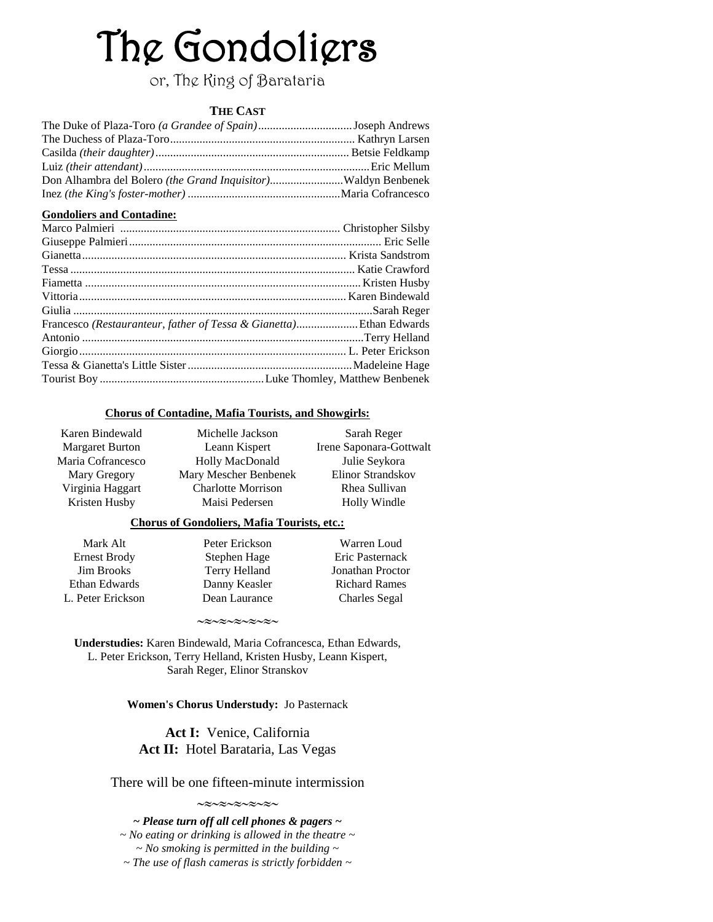# The Gondoliers

or, The King of Barataria

# **THE CAST**

## **Gondoliers and Contadine:**

| Francesco (Restauranteur, father of Tessa & Gianetta)Ethan Edwards |  |
|--------------------------------------------------------------------|--|
|                                                                    |  |
|                                                                    |  |
|                                                                    |  |
|                                                                    |  |

### **Chorus of Contadine, Mafia Tourists, and Showgirls:**

| Karen Bindewald        |
|------------------------|
| <b>Margaret Burton</b> |
| Maria Cofrancesco      |
| Mary Gregory           |
| Virginia Haggart       |
| Kristen Husby          |

Michelle Jackson Leann Kispert Holly MacDonald Mary Mescher Benbenek Charlotte Morrison Maisi Pedersen

Sarah Reger Irene Saponara-Gottwalt Julie Seykora Elinor Strandskov Rhea Sullivan Holly Windle

## **Chorus of Gondoliers, Mafia Tourists, etc.:**

| Mark Alt            | Peter Erickson | Warren Loud             |
|---------------------|----------------|-------------------------|
| <b>Ernest Brody</b> | Stephen Hage   | Eric Pasternack         |
| <b>Jim Brooks</b>   | Terry Helland  | <b>Jonathan Proctor</b> |
| Ethan Edwards       | Danny Keasler  | <b>Richard Rames</b>    |
| L. Peter Erickson   | Dean Laurance  | <b>Charles Segal</b>    |
|                     |                |                         |

**Understudies:** Karen Bindewald, Maria Cofrancesca, Ethan Edwards, L. Peter Erickson, Terry Helland, Kristen Husby, Leann Kispert, Sarah Reger, Elinor Stranskov

 $\sim$  $\approx$  $\sim$  $\approx$  $\sim$  $\approx$  $\sim$  $\approx$  $\sim$ 

## **Women's Chorus Understudy:** Jo Pasternack

# **Act I:** Venice, California **Act II:** Hotel Barataria, Las Vegas

There will be one fifteen-minute intermission  $\sim\approx\sim\approx\sim\approx\sim\approx\sim$ 

*~ Please turn off all cell phones & pagers ~ ~ No eating or drinking is allowed in the theatre ~ ~ No smoking is permitted in the building ~ ~ The use of flash cameras is strictly forbidden ~*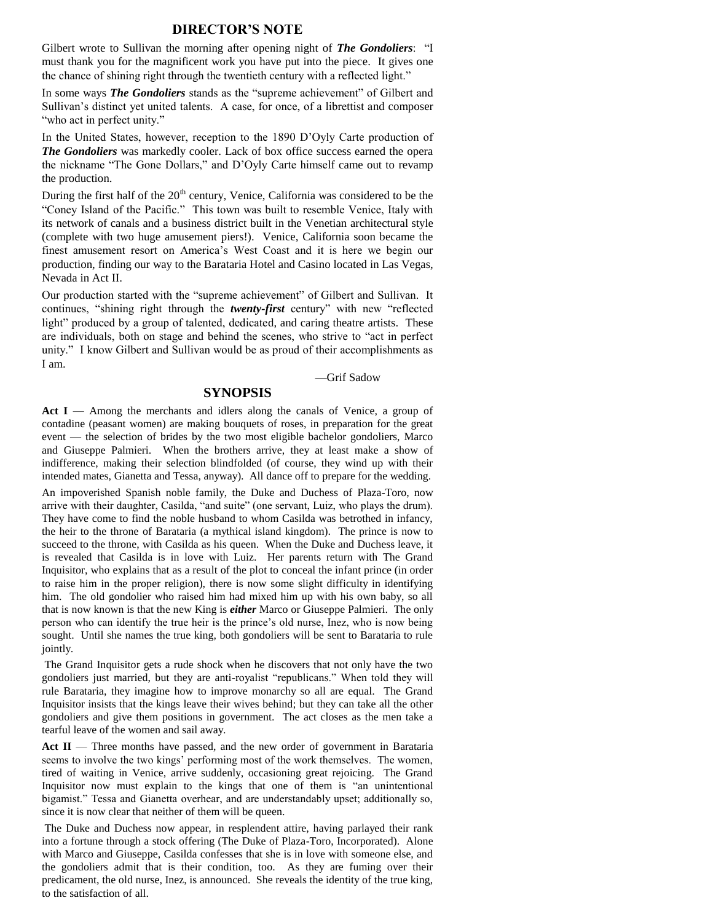#### **DIRECTOR'S NOTE**

Gilbert wrote to Sullivan the morning after opening night of *The Gondoliers*: "I must thank you for the magnificent work you have put into the piece. It gives one the chance of shining right through the twentieth century with a reflected light."

In some ways *The Gondoliers* stands as the "supreme achievement" of Gilbert and Sullivan's distinct yet united talents. A case, for once, of a librettist and composer "who act in perfect unity."

In the United States, however, reception to the 1890 D'Oyly Carte production of *The Gondoliers* was markedly cooler. Lack of box office success earned the opera the nickname "The Gone Dollars," and D'Oyly Carte himself came out to revamp the production.

During the first half of the 20<sup>th</sup> century, Venice, California was considered to be the "Coney Island of the Pacific." This town was built to resemble Venice, Italy with its network of canals and a business district built in the Venetian architectural style (complete with two huge amusement piers!). Venice, California soon became the finest amusement resort on America's West Coast and it is here we begin our production, finding our way to the Barataria Hotel and Casino located in Las Vegas, Nevada in Act II.

Our production started with the "supreme achievement" of Gilbert and Sullivan. It continues, "shining right through the *twenty-first* century" with new "reflected light" produced by a group of talented, dedicated, and caring theatre artists. These are individuals, both on stage and behind the scenes, who strive to "act in perfect unity." I know Gilbert and Sullivan would be as proud of their accomplishments as I am.

#### —Grif Sadow

## **SYNOPSIS**

Act I — Among the merchants and idlers along the canals of Venice, a group of contadine (peasant women) are making bouquets of roses, in preparation for the great event — the selection of brides by the two most eligible bachelor gondoliers, Marco and Giuseppe Palmieri. When the brothers arrive, they at least make a show of indifference, making their selection blindfolded (of course, they wind up with their intended mates, Gianetta and Tessa, anyway). All dance off to prepare for the wedding.

An impoverished Spanish noble family, the Duke and Duchess of Plaza-Toro, now arrive with their daughter, Casilda, "and suite" (one servant, Luiz, who plays the drum). They have come to find the noble husband to whom Casilda was betrothed in infancy, the heir to the throne of Barataria (a mythical island kingdom). The prince is now to succeed to the throne, with Casilda as his queen. When the Duke and Duchess leave, it is revealed that Casilda is in love with Luiz. Her parents return with The Grand Inquisitor, who explains that as a result of the plot to conceal the infant prince (in order to raise him in the proper religion), there is now some slight difficulty in identifying him. The old gondolier who raised him had mixed him up with his own baby, so all that is now known is that the new King is *either* Marco or Giuseppe Palmieri. The only person who can identify the true heir is the prince's old nurse, Inez, who is now being sought. Until she names the true king, both gondoliers will be sent to Barataria to rule jointly.

The Grand Inquisitor gets a rude shock when he discovers that not only have the two gondoliers just married, but they are anti-royalist "republicans." When told they will rule Barataria, they imagine how to improve monarchy so all are equal. The Grand Inquisitor insists that the kings leave their wives behind; but they can take all the other gondoliers and give them positions in government. The act closes as the men take a tearful leave of the women and sail away.

**Act II** — Three months have passed, and the new order of government in Barataria seems to involve the two kings' performing most of the work themselves. The women, tired of waiting in Venice, arrive suddenly, occasioning great rejoicing. The Grand Inquisitor now must explain to the kings that one of them is "an unintentional bigamist." Tessa and Gianetta overhear, and are understandably upset; additionally so, since it is now clear that neither of them will be queen.

The Duke and Duchess now appear, in resplendent attire, having parlayed their rank into a fortune through a stock offering (The Duke of Plaza-Toro, Incorporated). Alone with Marco and Giuseppe, Casilda confesses that she is in love with someone else, and the gondoliers admit that is their condition, too. As they are fuming over their predicament, the old nurse, Inez, is announced. She reveals the identity of the true king, to the satisfaction of all.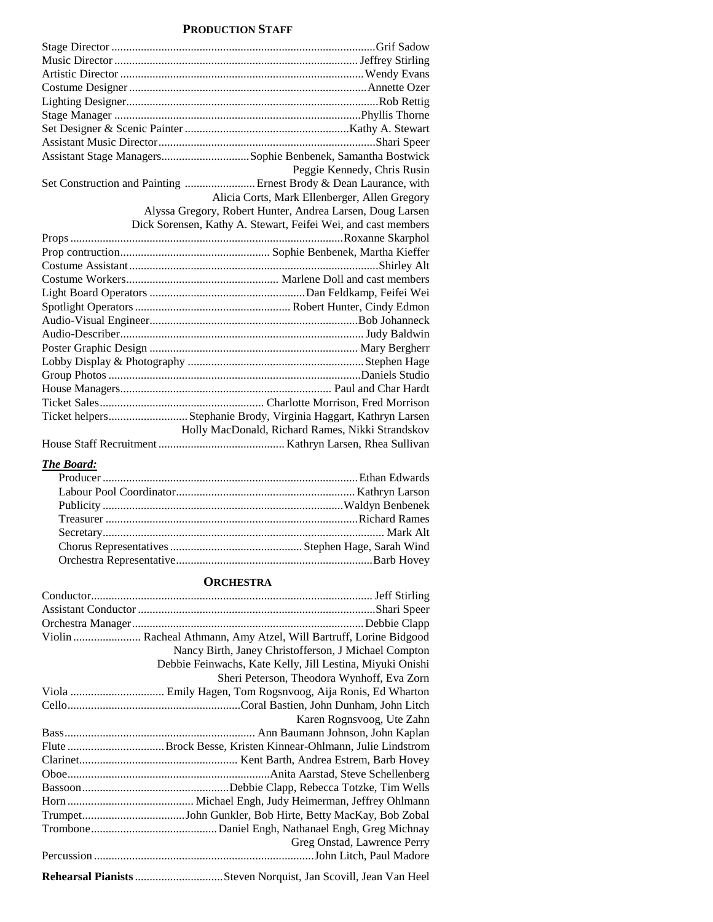## **PRODUCTION STAFF**

| Assistant Stage ManagersSophie Benbenek, Samantha Bostwick        |
|-------------------------------------------------------------------|
| Peggie Kennedy, Chris Rusin                                       |
| Set Construction and Painting  Ernest Brody & Dean Laurance, with |
| Alicia Corts, Mark Ellenberger, Allen Gregory                     |
| Alyssa Gregory, Robert Hunter, Andrea Larsen, Doug Larsen         |
| Dick Sorensen, Kathy A. Stewart, Feifei Wei, and cast members     |
|                                                                   |
|                                                                   |
|                                                                   |
|                                                                   |
|                                                                   |
|                                                                   |
|                                                                   |
|                                                                   |
|                                                                   |
|                                                                   |
|                                                                   |
|                                                                   |
|                                                                   |
| Ticket helpersStephanie Brody, Virginia Haggart, Kathryn Larsen   |
| Holly MacDonald, Richard Rames, Nikki Strandskov                  |
|                                                                   |

# *The Board:*

## **ORCHESTRA**

| Nancy Birth, Janey Christofferson, J Michael Compton           |
|----------------------------------------------------------------|
| Debbie Feinwachs, Kate Kelly, Jill Lestina, Miyuki Onishi      |
| Sheri Peterson, Theodora Wynhoff, Eva Zorn                     |
|                                                                |
|                                                                |
| Karen Rognsvoog, Ute Zahn                                      |
|                                                                |
|                                                                |
|                                                                |
|                                                                |
|                                                                |
|                                                                |
|                                                                |
|                                                                |
| Greg Onstad, Lawrence Perry                                    |
|                                                                |
| Rehearsal Pianists Steven Norquist, Jan Scovill, Jean Van Heel |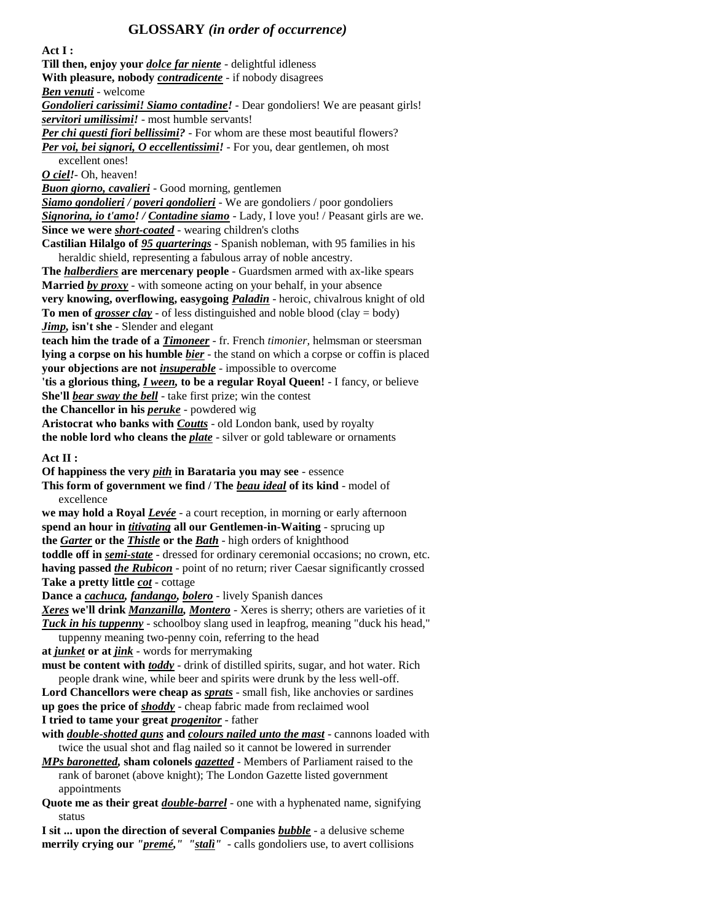# **GLOSSARY** *(in order of occurrence)*

**Act I : Till then, enjoy your** *dolce far niente* - delightful idleness **With pleasure, nobody** *contradicente* - if nobody disagrees *Ben venuti* - welcome *Gondolieri carissimi! Siamo contadine!* - Dear gondoliers! We are peasant girls! *servitori umilissimi!* - most humble servants! *Per chi questi fiori bellissimi?* - For whom are these most beautiful flowers? *Per voi, bei signori, O eccellentissimi!* - For you, dear gentlemen, oh most excellent ones! *O ciel!*- Oh, heaven! *Buon giorno, cavalieri* - Good morning, gentlemen *Siamo gondolieri / poveri gondolieri* - We are gondoliers / poor gondoliers *Signorina, io t'amo! / Contadine siamo* - Lady, I love you! / Peasant girls are we. **Since we were** *short-coated* - wearing children's cloths **Castilian Hilalgo of** *95 quarterings* - Spanish nobleman, with 95 families in his heraldic shield, representing a fabulous array of noble ancestry. **The** *halberdiers* **are mercenary people** - Guardsmen armed with ax-like spears **Married** *by proxy* - with someone acting on your behalf, in your absence **very knowing, overflowing, easygoing** *Paladin* - heroic, chivalrous knight of old **To men of** *grosser clay* - of less distinguished and noble blood (clay = body) *Jimp,* **isn't she** - Slender and elegant **teach him the trade of a** *Timoneer* - fr. French *timonier,* helmsman or steersman **lying a corpse on his humble** *bier* - the stand on which a corpse or coffin is placed **your objections are not** *insuperable* - impossible to overcome **'tis a glorious thing,** *I ween,* **to be a regular Royal Queen!** - I fancy, or believe **She'll** *bear sway the bell* - take first prize; win the contest **the Chancellor in his** *peruke* - powdered wig **Aristocrat who banks with** *Coutts* - old London bank, used by royalty **the noble lord who cleans the** *plate* - silver or gold tableware or ornaments **Act II : Of happiness the very** *pith* **in Barataria you may see** - essence **This form of government we find / The** *beau ideal* **of its kind** - model of excellence **we may hold a Royal** *Levée* - a court reception, in morning or early afternoon **spend an hour in** *titivating* **all our Gentlemen-in-Waiting** - sprucing up **the** *Garter* **or the** *Thistle* **or the** *Bath* - high orders of knighthood **toddle off in** *semi-state* - dressed for ordinary ceremonial occasions; no crown, etc. **having passed** *the Rubicon* - point of no return; river Caesar significantly crossed **Take a pretty little** *cot* - cottage **Dance a** *cachuca, fandango, bolero* - lively Spanish dances *Xeres* **we'll drink** *Manzanilla, Montero* - Xeres is sherry; others are varieties of it *Tuck in his tuppenny* - schoolboy slang used in leapfrog, meaning "duck his head," tuppenny meaning two-penny coin, referring to the head **at** *junket* **or at** *jink* - words for merrymaking **must be content with** *toddy* - drink of distilled spirits, sugar, and hot water. Rich people drank wine, while beer and spirits were drunk by the less well-off. **Lord Chancellors were cheap as** *sprats* - small fish, like anchovies or sardines **up goes the price of** *shoddy* - cheap fabric made from reclaimed wool **I tried to tame your great** *progenitor* - father **with** *double-shotted guns* **and** *colours nailed unto the mast* - cannons loaded with twice the usual shot and flag nailed so it cannot be lowered in surrender *MPs baronetted,* **sham colonels** *gazetted* - Members of Parliament raised to the rank of baronet (above knight); The London Gazette listed government appointments **Quote me as their great** *double-barrel* - one with a hyphenated name, signifying status **I sit ... upon the direction of several Companies** *bubble* - a delusive scheme **merrily crying our** *"premé," "stalì"* - calls gondoliers use, to avert collisions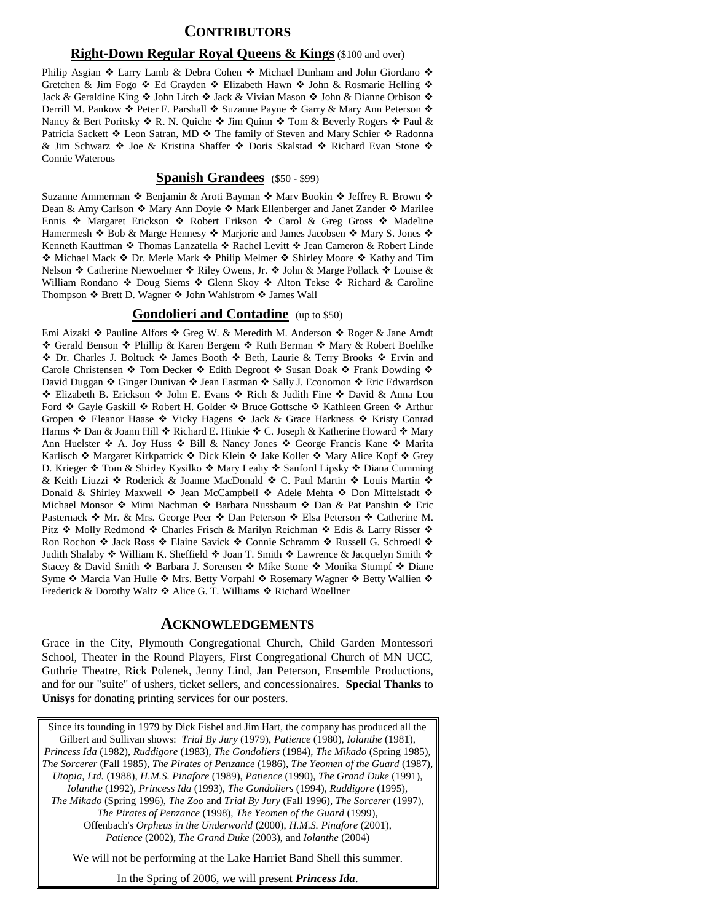# **CONTRIBUTORS**

#### **Right-Down Regular Royal Queens & Kings** (\$100 and over)

Philip Asgian  $\cdot$  Larry Lamb & Debra Cohen  $\cdot$  Michael Dunham and John Giordano  $\cdot$ Gretchen & Jim Fogo  $\div$  Ed Grayden  $\div$  Elizabeth Hawn  $\div$  John & Rosmarie Helling  $\div$ Jack & Geraldine King  $\triangle$  John Litch  $\triangle$  Jack & Vivian Mason  $\triangle$  John & Dianne Orbison  $\triangle$ Derrill M. Pankow ❖ Peter F. Parshall ❖ Suzanne Payne ❖ Garry & Mary Ann Peterson ❖ Nancy & Bert Poritsky  $\triangle$  R. N. Quiche  $\triangle$  Jim Quinn  $\triangle$  Tom & Beverly Rogers  $\triangle$  Paul & Patricia Sackett ❖ Leon Satran, MD ❖ The family of Steven and Mary Schier ❖ Radonna & Jim Schwarz �� Joe & Kristina Shaffer �� Doris Skalstad �� Richard Evan Stone �� Connie Waterous

#### **Spanish Grandees** (\$50 - \$99)

Suzanne Ammerman  $\cdot$  Benjamin & Aroti Bayman  $\cdot$  Marv Bookin  $\cdot$  Jeffrey R. Brown  $\cdot$ Dean & Amy Carlson  $\cdot \cdot$  Mary Ann Doyle  $\cdot \cdot$  Mark Ellenberger and Janet Zander  $\cdot \cdot$  Marilee Ennis  $\hat{\mathbf{v}}$  Margaret Erickson  $\hat{\mathbf{v}}$  Robert Erikson  $\hat{\mathbf{v}}$  Carol & Greg Gross  $\hat{\mathbf{v}}$  Madeline Hamermesh  $\triangleleft$  Bob & Marge Hennesy  $\triangleleft$  Marjorie and James Jacobsen  $\triangleleft$  Mary S. Jones  $\triangleleft$ Kenneth Kauffman ❖ Thomas Lanzatella ❖ Rachel Levitt ❖ Jean Cameron & Robert Linde **\*** Michael Mack ◆ Dr. Merle Mark ◆ Philip Melmer ◆ Shirley Moore ◆ Kathy and Tim Nelson  $\triangle$  Catherine Niewoehner  $\triangle$  Riley Owens, Jr.  $\triangle$  John & Marge Pollack  $\triangle$  Louise & William Rondano  $\div$  Doug Siems  $\div$  Glenn Skoy  $\div$  Alton Tekse  $\div$  Richard & Caroline Thompson ❖ Brett D. Wagner ❖ John Wahlstrom ❖ James Wall

#### **Gondolieri and Contadine** (up to \$50)

Emi Aizaki ❖ Pauline Alfors ❖ Greg W. & Meredith M. Anderson ❖ Roger & Jane Arndt ◆ Gerald Benson ◆ Phillip & Karen Bergem ◆ Ruth Berman ◆ Mary & Robert Boehlke ◆ Dr. Charles J. Boltuck ◆ James Booth ◆ Beth, Laurie & Terry Brooks ◆ Ervin and Carole Christensen  $\cdot$  Tom Decker  $\cdot$  Edith Degroot  $\cdot$  Susan Doak  $\cdot$  Frank Dowding  $\cdot$ David Duggan ❖ Ginger Dunivan ❖ Jean Eastman ❖ Sally J. Economon ❖ Eric Edwardson \* Elizabeth B. Erickson \* John E. Evans \* Rich & Judith Fine \* David & Anna Lou Ford ❖ Gayle Gaskill ❖ Robert H. Golder ❖ Bruce Gottsche ❖ Kathleen Green ❖ Arthur Gropen  $\triangleleft$  Eleanor Haase  $\triangleleft$  Vicky Hagens  $\triangleleft$  Jack & Grace Harkness  $\triangleleft$  Kristy Conrad Harms ❖ Dan & Joann Hill ❖ Richard E. Hinkie ❖ C. Joseph & Katherine Howard ❖ Mary Ann Huelster �� A. Joy Huss �� Bill & Nancy Jones �� George Francis Kane �� Marita Karlisch  $*$  Margaret Kirkpatrick  $*$  Dick Klein  $*$  Jake Koller  $*$  Mary Alice Kopf  $*$  Grey D. Krieger ❖ Tom & Shirley Kysilko ❖ Mary Leahy ❖ Sanford Lipsky ❖ Diana Cumming & Keith Liuzzi ❖ Roderick & Joanne MacDonald ❖ C. Paul Martin ❖ Louis Martin ❖ Donald & Shirley Maxwell ❖ Jean McCampbell ❖ Adele Mehta ❖ Don Mittelstadt ❖ Michael Monsor  $\hat{\mathbf{v}}$  Mimi Nachman  $\hat{\mathbf{v}}$  Barbara Nussbaum  $\hat{\mathbf{v}}$  Dan & Pat Panshin  $\hat{\mathbf{v}}$  Eric Pasternack ◆ Mr. & Mrs. George Peer ◆ Dan Peterson ◆ Elsa Peterson ◆ Catherine M. Pitz  $*$  Molly Redmond  $*$  Charles Frisch & Marilyn Reichman  $*$  Edis & Larry Risser  $*$ Ron Rochon  $\cdot$  Jack Ross  $\cdot$  Elaine Savick  $\cdot$  Connie Schramm  $\cdot$  Russell G. Schroedl  $\cdot$ Judith Shalaby  $\div$  William K. Sheffield  $\div$  Joan T. Smith  $\div$  Lawrence & Jacquelyn Smith  $\div$ Stacey & David Smith  $\cdot$  Barbara J. Sorensen  $\cdot$  Mike Stone  $\cdot$  Monika Stumpf  $\cdot$  Diane Syme  $*$  Marcia Van Hulle  $*$  Mrs. Betty Vorpahl  $*$  Rosemary Wagner  $*$  Betty Wallien  $*$ Frederick & Dorothy Waltz ◆ Alice G. T. Williams ◆ Richard Woellner

#### **ACKNOWLEDGEMENTS**

Grace in the City, Plymouth Congregational Church, Child Garden Montessori School, Theater in the Round Players, First Congregational Church of MN UCC, Guthrie Theatre, Rick Polenek, Jenny Lind, Jan Peterson, Ensemble Productions, and for our "suite" of ushers, ticket sellers, and concessionaires. **Special Thanks** to **Unisys** for donating printing services for our posters.

Since its founding in 1979 by Dick Fishel and Jim Hart, the company has produced all the Gilbert and Sullivan shows: *Trial By Jury* (1979), *Patience* (1980), *Iolanthe* (1981), *Princess Ida* (1982), *Ruddigore* (1983), *The Gondoliers* (1984), *The Mikado* (Spring 1985), *The Sorcerer* (Fall 1985), *The Pirates of Penzance* (1986), *The Yeomen of the Guard* (1987), *Utopia, Ltd.* (1988), *H.M.S. Pinafore* (1989), *Patience* (1990), *The Grand Duke* (1991), *Iolanthe* (1992), *Princess Ida* (1993), *The Gondoliers* (1994), *Ruddigore* (1995), *The Mikado* (Spring 1996), *The Zoo* and *Trial By Jury* (Fall 1996), *The Sorcerer* (1997), *The Pirates of Penzance* (1998), *The Yeomen of the Guard* (1999), Offenbach's *Orpheus in the Underworld* (2000), *H.M.S. Pinafore* (2001), *Patience* (2002), *The Grand Duke* (2003), and *Iolanthe* (2004)

We will not be performing at the Lake Harriet Band Shell this summer.

In the Spring of 2006, we will present *Princess Ida*.